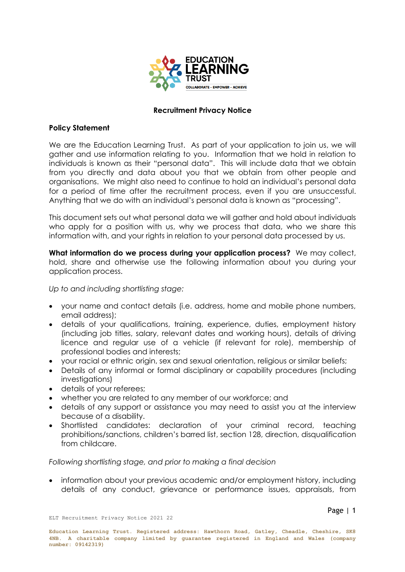

## **Recruitment Privacy Notice**

## **Policy Statement**

We are the Education Learning Trust. As part of your application to join us, we will gather and use information relating to you. Information that we hold in relation to individuals is known as their "personal data". This will include data that we obtain from you directly and data about you that we obtain from other people and organisations. We might also need to continue to hold an individual's personal data for a period of time after the recruitment process, even if you are unsuccessful. Anything that we do with an individual's personal data is known as "processing".

This document sets out what personal data we will gather and hold about individuals who apply for a position with us, why we process that data, who we share this information with, and your rights in relation to your personal data processed by us.

**What information do we process during your application process?** We may collect, hold, share and otherwise use the following information about you during your application process.

*Up to and including shortlisting stage:*

- your name and contact details (i.e. address, home and mobile phone numbers, email address);
- details of your qualifications, training, experience, duties, employment history (including job titles, salary, relevant dates and working hours), details of driving licence and regular use of a vehicle (if relevant for role), membership of professional bodies and interests;
- your racial or ethnic origin, sex and sexual orientation, religious or similar beliefs;
- Details of any informal or formal disciplinary or capability procedures (including investigations)
- details of your referees;
- whether you are related to any member of our workforce; and
- details of any support or assistance you may need to assist you at the interview because of a disability.
- Shortlisted candidates: declaration of your criminal record, teaching prohibitions/sanctions, children's barred list, section 128, direction, disqualification from childcare.

## *Following shortlisting stage, and prior to making a final decision*

 information about your previous academic and/or employment history, including details of any conduct, grievance or performance issues, appraisals, from

ELT Recruitment Privacy Notice 2021 22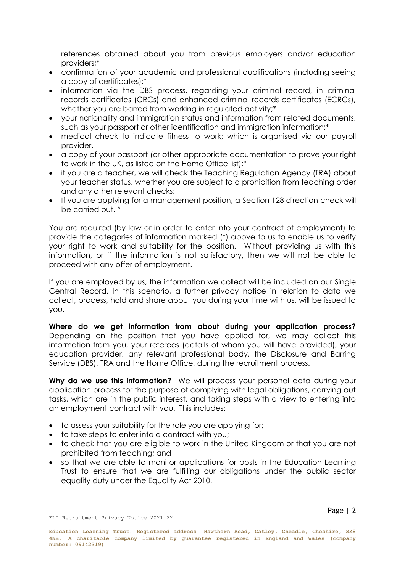references obtained about you from previous employers and/or education providers;\*

- confirmation of your academic and professional qualifications (including seeing a copy of certificates);\*
- information via the DBS process, regarding your criminal record, in criminal records certificates (CRCs) and enhanced criminal records certificates (ECRCs), whether you are barred from working in regulated activity;\*
- your nationality and immigration status and information from related documents, such as your passport or other identification and immigration information;\*
- medical check to indicate fitness to work; which is organised via our payroll provider.
- a copy of your passport (or other appropriate documentation to prove your right to work in the UK, as listed on the Home Office list);\*
- if you are a teacher, we will check the Teaching Regulation Agency (TRA) about your teacher status, whether you are subject to a prohibition from teaching order and any other relevant checks;
- If you are applying for a management position, a Section 128 direction check will be carried out. \*

You are required (by law or in order to enter into your contract of employment) to provide the categories of information marked (\*) above to us to enable us to verify your right to work and suitability for the position. Without providing us with this information, or if the information is not satisfactory, then we will not be able to proceed with any offer of employment.

If you are employed by us, the information we collect will be included on our Single Central Record. In this scenario, a further privacy notice in relation to data we collect, process, hold and share about you during your time with us, will be issued to you.

**Where do we get information from about during your application process?**  Depending on the position that you have applied for, we may collect this information from you, your referees (details of whom you will have provided), your education provider, any relevant professional body, the Disclosure and Barring Service (DBS), TRA and the Home Office, during the recruitment process.

Why do we use this information? We will process your personal data during your application process for the purpose of complying with legal obligations, carrying out tasks, which are in the public interest, and taking steps with a view to entering into an employment contract with you. This includes:

- to assess your suitability for the role you are applying for;
- to take steps to enter into a contract with you;
- to check that you are eligible to work in the United Kingdom or that you are not prohibited from teaching; and
- so that we are able to monitor applications for posts in the Education Learning Trust to ensure that we are fulfilling our obligations under the public sector equality duty under the Equality Act 2010.